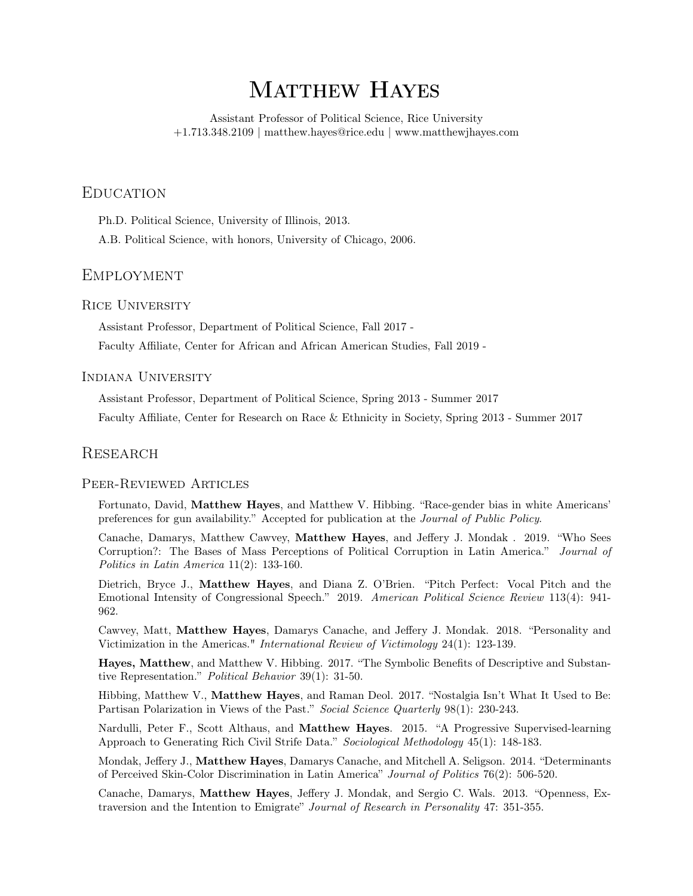# MATTHEW HAYES

Assistant Professor of Political Science, Rice University +1.713.348.2109 | matthew.hayes@rice.edu | www.matthewjhayes.com

# **EDUCATION**

Ph.D. Political Science, University of Illinois, 2013.

A.B. Political Science, with honors, University of Chicago, 2006.

# Employment

# Rice University

Assistant Professor, Department of Political Science, Fall 2017 -

Faculty Affiliate, Center for African and African American Studies, Fall 2019 -

## Indiana University

Assistant Professor, Department of Political Science, Spring 2013 - Summer 2017

Faculty Affiliate, Center for Research on Race & Ethnicity in Society, Spring 2013 - Summer 2017

## **RESEARCH**

#### Peer-Reviewed Articles

Fortunato, David, Matthew Hayes, and Matthew V. Hibbing. "Race-gender bias in white Americans' preferences for gun availability." Accepted for publication at the Journal of Public Policy.

Canache, Damarys, Matthew Cawvey, Matthew Hayes, and Jeffery J. Mondak . 2019. "Who Sees Corruption?: The Bases of Mass Perceptions of Political Corruption in Latin America." Journal of Politics in Latin America 11(2): 133-160.

Dietrich, Bryce J., Matthew Hayes, and Diana Z. O'Brien. "Pitch Perfect: Vocal Pitch and the Emotional Intensity of Congressional Speech." 2019. American Political Science Review 113(4): 941- 962.

Cawvey, Matt, Matthew Hayes, Damarys Canache, and Jeffery J. Mondak. 2018. "Personality and Victimization in the Americas." International Review of Victimology 24(1): 123-139.

Hayes, Matthew, and Matthew V. Hibbing. 2017. "The Symbolic Benefits of Descriptive and Substantive Representation." Political Behavior 39(1): 31-50.

Hibbing, Matthew V., Matthew Hayes, and Raman Deol. 2017. "Nostalgia Isn't What It Used to Be: Partisan Polarization in Views of the Past." Social Science Quarterly 98(1): 230-243.

Nardulli, Peter F., Scott Althaus, and Matthew Hayes. 2015. "A Progressive Supervised-learning Approach to Generating Rich Civil Strife Data." Sociological Methodology 45(1): 148-183.

Mondak, Jeffery J., Matthew Hayes, Damarys Canache, and Mitchell A. Seligson. 2014. "Determinants of Perceived Skin-Color Discrimination in Latin America" Journal of Politics 76(2): 506-520.

Canache, Damarys, Matthew Hayes, Jeffery J. Mondak, and Sergio C. Wals. 2013. "Openness, Extraversion and the Intention to Emigrate" Journal of Research in Personality 47: 351-355.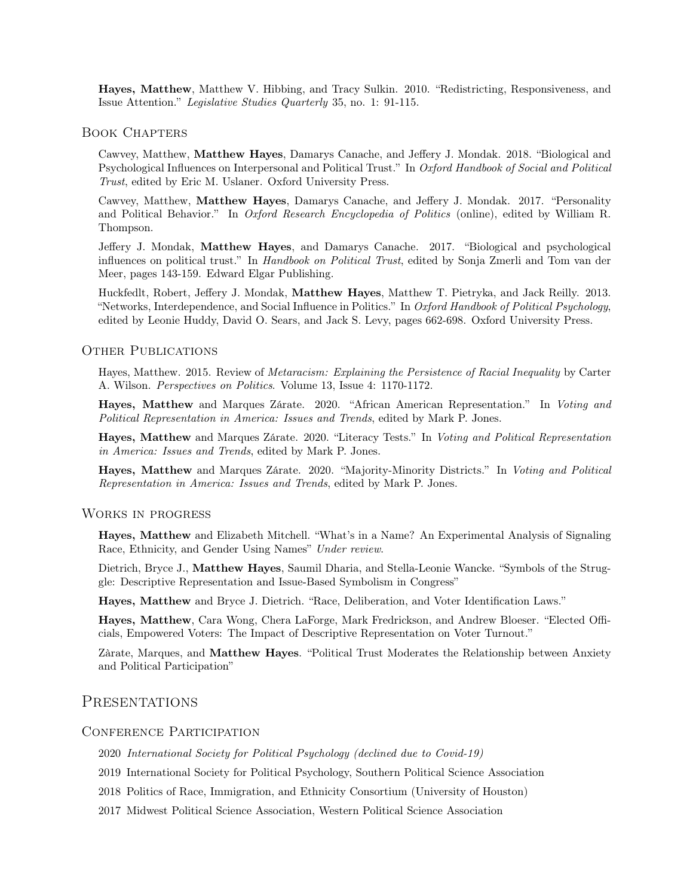Hayes, Matthew, Matthew V. Hibbing, and Tracy Sulkin. 2010. "Redistricting, Responsiveness, and Issue Attention." Legislative Studies Quarterly 35, no. 1: 91-115.

#### Book Chapters

Cawvey, Matthew, Matthew Hayes, Damarys Canache, and Jeffery J. Mondak. 2018. "Biological and Psychological Influences on Interpersonal and Political Trust." In Oxford Handbook of Social and Political Trust, edited by Eric M. Uslaner. Oxford University Press.

Cawvey, Matthew, Matthew Hayes, Damarys Canache, and Jeffery J. Mondak. 2017. "Personality and Political Behavior." In Oxford Research Encyclopedia of Politics (online), edited by William R. Thompson.

Jeffery J. Mondak, Matthew Hayes, and Damarys Canache. 2017. "Biological and psychological influences on political trust." In Handbook on Political Trust, edited by Sonja Zmerli and Tom van der Meer, pages 143-159. Edward Elgar Publishing.

Huckfedlt, Robert, Jeffery J. Mondak, Matthew Hayes, Matthew T. Pietryka, and Jack Reilly. 2013. "Networks, Interdependence, and Social Influence in Politics." In Oxford Handbook of Political Psychology, edited by Leonie Huddy, David O. Sears, and Jack S. Levy, pages 662-698. Oxford University Press.

#### OTHER PUBLICATIONS

Hayes, Matthew. 2015. Review of Metaracism: Explaining the Persistence of Racial Inequality by Carter A. Wilson. Perspectives on Politics. Volume 13, Issue 4: 1170-1172.

Hayes, Matthew and Marques Zárate. 2020. "African American Representation." In Voting and Political Representation in America: Issues and Trends, edited by Mark P. Jones.

Hayes, Matthew and Marques Zárate. 2020. "Literacy Tests." In Voting and Political Representation in America: Issues and Trends, edited by Mark P. Jones.

Hayes, Matthew and Marques Zárate. 2020. "Majority-Minority Districts." In Voting and Political Representation in America: Issues and Trends, edited by Mark P. Jones.

#### Works in progress

Hayes, Matthew and Elizabeth Mitchell. "What's in a Name? An Experimental Analysis of Signaling Race, Ethnicity, and Gender Using Names" Under review.

Dietrich, Bryce J., Matthew Hayes, Saumil Dharia, and Stella-Leonie Wancke. "Symbols of the Struggle: Descriptive Representation and Issue-Based Symbolism in Congress"

Hayes, Matthew and Bryce J. Dietrich. "Race, Deliberation, and Voter Identification Laws."

Hayes, Matthew, Cara Wong, Chera LaForge, Mark Fredrickson, and Andrew Bloeser. "Elected Officials, Empowered Voters: The Impact of Descriptive Representation on Voter Turnout."

Zàrate, Marques, and Matthew Hayes. "Political Trust Moderates the Relationship between Anxiety and Political Participation"

## **PRESENTATIONS**

#### CONFERENCE PARTICIPATION

2020 International Society for Political Psychology (declined due to Covid-19)

2019 International Society for Political Psychology, Southern Political Science Association

2018 Politics of Race, Immigration, and Ethnicity Consortium (University of Houston)

2017 Midwest Political Science Association, Western Political Science Association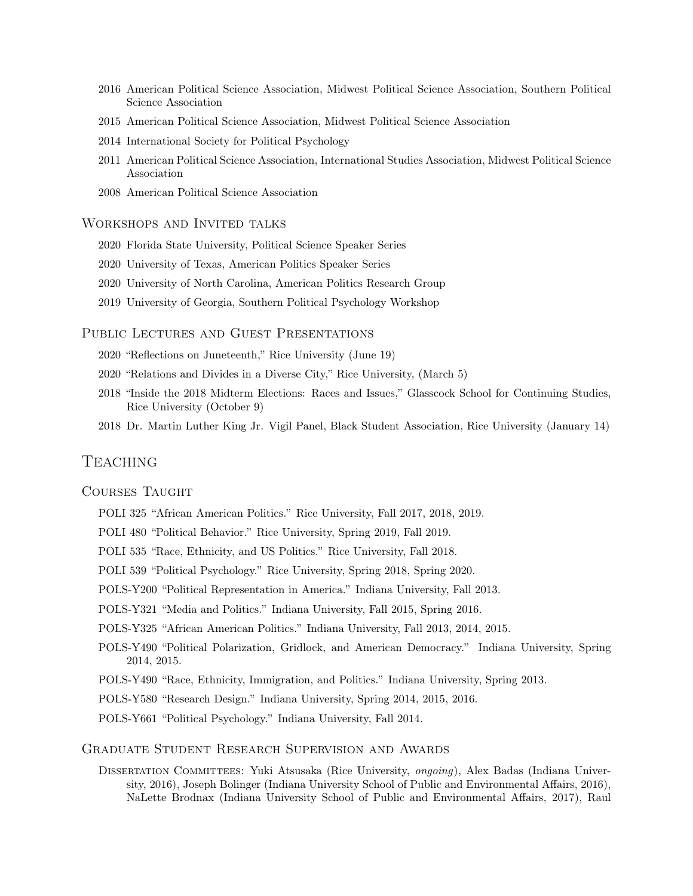- 2016 American Political Science Association, Midwest Political Science Association, Southern Political Science Association
- 2015 American Political Science Association, Midwest Political Science Association
- 2014 International Society for Political Psychology
- 2011 American Political Science Association, International Studies Association, Midwest Political Science Association
- 2008 American Political Science Association

#### Workshops and Invited talks

- 2020 Florida State University, Political Science Speaker Series
- 2020 University of Texas, American Politics Speaker Series
- 2020 University of North Carolina, American Politics Research Group
- 2019 University of Georgia, Southern Political Psychology Workshop

#### Public Lectures and Guest Presentations

- 2020 "Reflections on Juneteenth," Rice University (June 19)
- 2020 "Relations and Divides in a Diverse City," Rice University, (March 5)
- 2018 "Inside the 2018 Midterm Elections: Races and Issues," Glasscock School for Continuing Studies, Rice University (October 9)
- 2018 Dr. Martin Luther King Jr. Vigil Panel, Black Student Association, Rice University (January 14)

# **TEACHING**

#### COURSES TAUGHT

- POLI 325 "African American Politics." Rice University, Fall 2017, 2018, 2019.
- POLI 480 "Political Behavior." Rice University, Spring 2019, Fall 2019.
- POLI 535 "Race, Ethnicity, and US Politics." Rice University, Fall 2018.
- POLI 539 "Political Psychology." Rice University, Spring 2018, Spring 2020.
- POLS-Y200 "Political Representation in America." Indiana University, Fall 2013.
- POLS-Y321 "Media and Politics." Indiana University, Fall 2015, Spring 2016.
- POLS-Y325 "African American Politics." Indiana University, Fall 2013, 2014, 2015.
- POLS-Y490 "Political Polarization, Gridlock, and American Democracy." Indiana University, Spring 2014, 2015.
- POLS-Y490 "Race, Ethnicity, Immigration, and Politics." Indiana University, Spring 2013.
- POLS-Y580 "Research Design." Indiana University, Spring 2014, 2015, 2016.
- POLS-Y661 "Political Psychology." Indiana University, Fall 2014.

## GRADUATE STUDENT RESEARCH SUPERVISION AND AWARDS

DISSERTATION COMMITTEES: Yuki Atsusaka (Rice University, *ongoing*), Alex Badas (Indiana University, 2016), Joseph Bolinger (Indiana University School of Public and Environmental Affairs, 2016), NaLette Brodnax (Indiana University School of Public and Environmental Affairs, 2017), Raul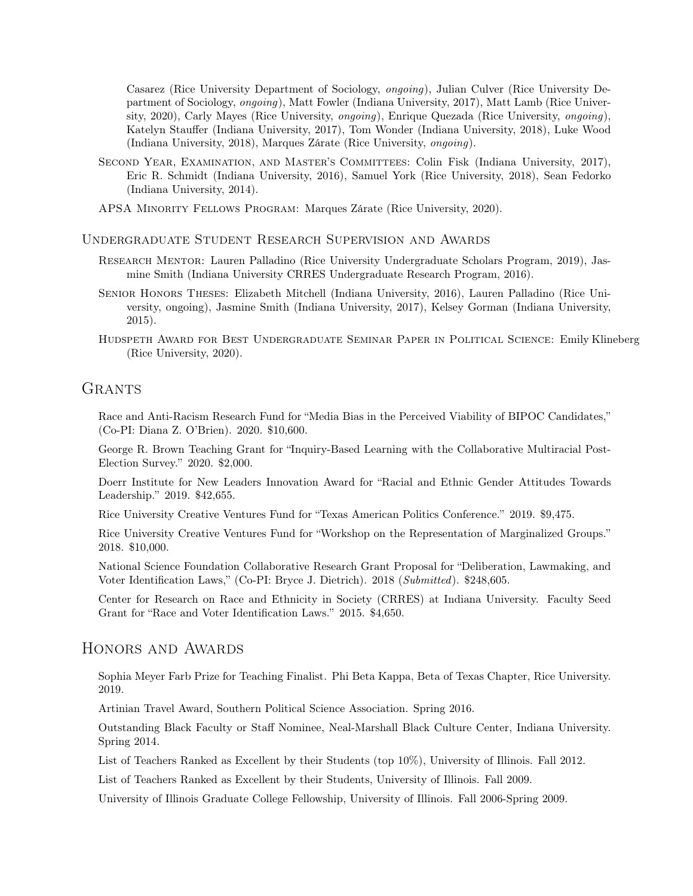Casarez (Rice University Department of Sociology, ongoing), Julian Culver (Rice University Department of Sociology, ongoing), Matt Fowler (Indiana University, 2017), Matt Lamb (Rice University, 2020), Carly Mayes (Rice University, ongoing), Enrique Quezada (Rice University, ongoing), Katelyn Stauffer (Indiana University, 2017), Tom Wonder (Indiana University, 2018), Luke Wood (Indiana University, 2018), Marques Zárate (Rice University, ongoing).

- SECOND YEAR, EXAMINATION, AND MASTER'S COMMITTEES: Colin Fisk (Indiana University, 2017), Eric R. Schmidt (Indiana University, 2016), Samuel York (Rice University, 2018), Sean Fedorko (Indiana University, 2014).
- APSA Minority Fellows Program: Marques Zárate (Rice University, 2020).

Undergraduate Student Research Supervision and Awards

- Research Mentor: Lauren Palladino (Rice University Undergraduate Scholars Program, 2019), Jasmine Smith (Indiana University CRRES Undergraduate Research Program, 2016).
- Senior Honors Theses: Elizabeth Mitchell (Indiana University, 2016), Lauren Palladino (Rice University, ongoing), Jasmine Smith (Indiana University, 2017), Kelsey Gorman (Indiana University, 2015).
- Hudspeth Award for Best Undergraduate Seminar Paper in Political Science: Emily Klineberg (Rice University, 2020).

# **GRANTS**

Race and Anti-Racism Research Fund for "Media Bias in the Perceived Viability of BIPOC Candidates," (Co-PI: Diana Z. O'Brien). 2020. \$10,600.

George R. Brown Teaching Grant for "Inquiry-Based Learning with the Collaborative Multiracial Post-Election Survey." 2020. \$2,000.

Doerr Institute for New Leaders Innovation Award for "Racial and Ethnic Gender Attitudes Towards Leadership." 2019. \$42,655.

Rice University Creative Ventures Fund for "Texas American Politics Conference." 2019. \$9,475.

Rice University Creative Ventures Fund for "Workshop on the Representation of Marginalized Groups." 2018. \$10,000.

National Science Foundation Collaborative Research Grant Proposal for "Deliberation, Lawmaking, and Voter Identification Laws," (Co-PI: Bryce J. Dietrich). 2018 (Submitted). \$248,605.

Center for Research on Race and Ethnicity in Society (CRRES) at Indiana University. Faculty Seed Grant for "Race and Voter Identification Laws." 2015. \$4,650.

## Honors and Awards

Sophia Meyer Farb Prize for Teaching Finalist. Phi Beta Kappa, Beta of Texas Chapter, Rice University. 2019.

Artinian Travel Award, Southern Political Science Association. Spring 2016.

Outstanding Black Faculty or Staff Nominee, Neal-Marshall Black Culture Center, Indiana University. Spring 2014.

List of Teachers Ranked as Excellent by their Students (top 10%), University of Illinois. Fall 2012.

List of Teachers Ranked as Excellent by their Students, University of Illinois. Fall 2009.

University of Illinois Graduate College Fellowship, University of Illinois. Fall 2006-Spring 2009.